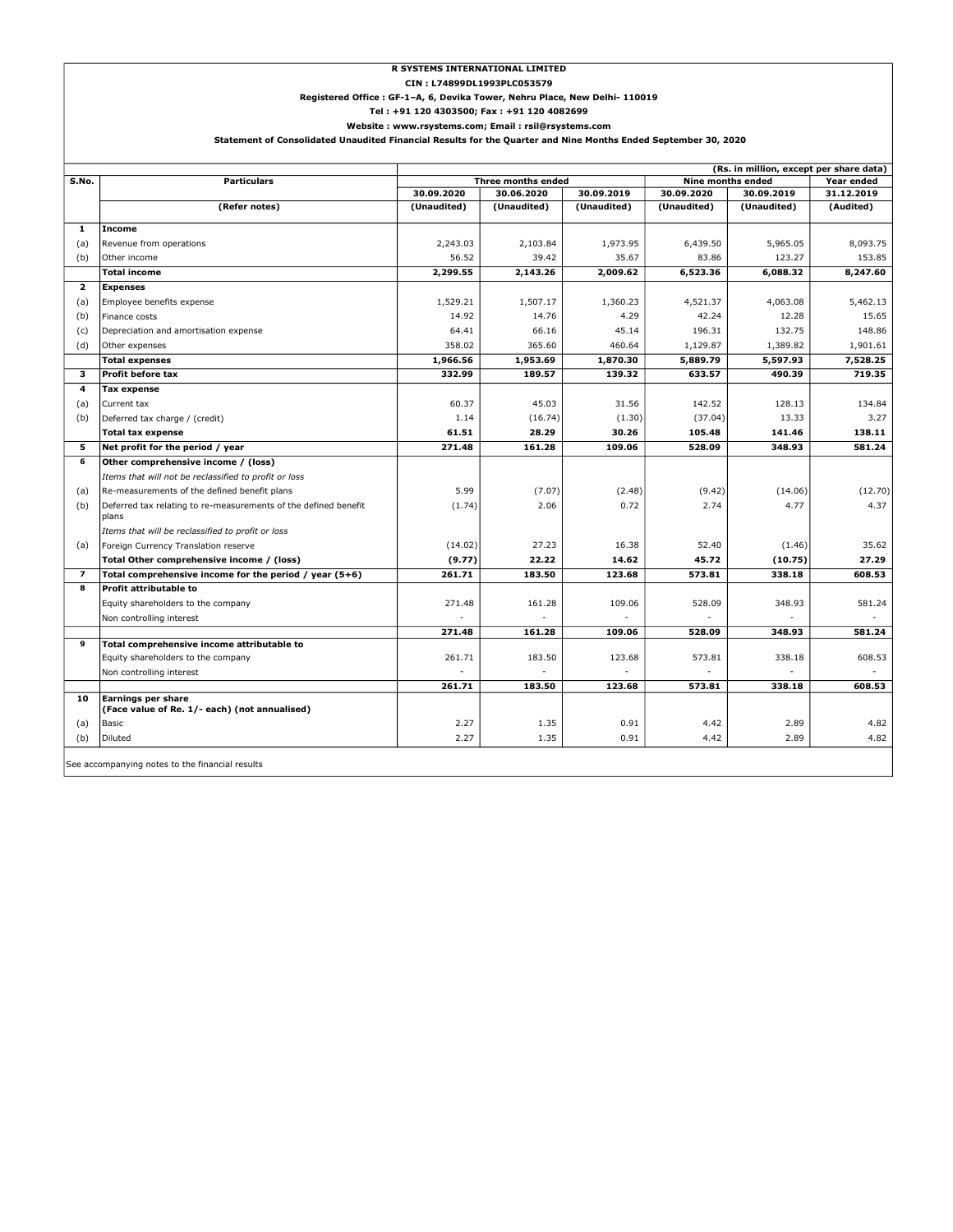#### R SYSTEMS INTERNATIONAL LIMITED

Ĩ.

CIN : L74899DL1993PLC053579

#### Registered Office : GF-1–A, 6, Devika Tower, Nehru Place, New Delhi- 110019

Tel : +91 120 4303500; Fax : +91 120 4082699

 Statement of Consolidated Unaudited Financial Results for the Quarter and Nine Months Ended September 30, 2020 Website : www.rsystems.com; Email : rsil@rsystems.com

| (Rs. in million, except per share data)         |                                                                          |             |                    |             |                                        |             |            |  |
|-------------------------------------------------|--------------------------------------------------------------------------|-------------|--------------------|-------------|----------------------------------------|-------------|------------|--|
| S.No.                                           | <b>Particulars</b>                                                       |             | Three months ended |             | <b>Nine months ended</b><br>Year ended |             |            |  |
|                                                 |                                                                          | 30.09.2020  | 30.06.2020         | 30.09.2019  | 30.09.2020                             | 30.09.2019  | 31.12.2019 |  |
|                                                 | (Refer notes)                                                            | (Unaudited) | (Unaudited)        | (Unaudited) | (Unaudited)                            | (Unaudited) | (Audited)  |  |
| $\mathbf{1}$                                    | Income                                                                   |             |                    |             |                                        |             |            |  |
| (a)                                             | Revenue from operations                                                  | 2,243.03    | 2,103.84           | 1,973.95    | 6,439.50                               | 5,965.05    | 8,093.75   |  |
| (b)                                             | Other income                                                             | 56.52       | 39.42              | 35.67       | 83.86                                  | 123.27      | 153.85     |  |
|                                                 | <b>Total income</b>                                                      | 2,299.55    | 2,143.26           | 2,009.62    | 6,523.36                               | 6,088.32    | 8,247.60   |  |
| $\overline{\mathbf{2}}$                         | <b>Expenses</b>                                                          |             |                    |             |                                        |             |            |  |
| (a)                                             | Employee benefits expense                                                | 1,529.21    | 1,507.17           | 1,360.23    | 4,521.37                               | 4,063.08    | 5,462.13   |  |
| (b)                                             | Finance costs                                                            | 14.92       | 14.76              | 4.29        | 42.24                                  | 12.28       | 15.65      |  |
| (c)                                             | Depreciation and amortisation expense                                    | 64.41       | 66.16              | 45.14       | 196.31                                 | 132.75      | 148.86     |  |
| (d)                                             | Other expenses                                                           | 358.02      | 365.60             | 460.64      | 1,129.87                               | 1,389.82    | 1,901.61   |  |
|                                                 | <b>Total expenses</b>                                                    | 1,966.56    | 1,953.69           | 1,870.30    | 5,889.79                               | 5,597.93    | 7,528.25   |  |
| 3                                               | Profit before tax                                                        | 332.99      | 189.57             | 139.32      | 633.57                                 | 490.39      | 719.35     |  |
| 4                                               | Tax expense                                                              |             |                    |             |                                        |             |            |  |
| (a)                                             | Current tax                                                              | 60.37       | 45.03              | 31.56       | 142.52                                 | 128.13      | 134.84     |  |
| (b)                                             | Deferred tax charge / (credit)                                           | 1.14        | (16.74)            | (1.30)      | (37.04)                                | 13.33       | 3.27       |  |
|                                                 | <b>Total tax expense</b>                                                 | 61.51       | 28.29              | 30.26       | 105.48                                 | 141.46      | 138.11     |  |
| 5                                               | Net profit for the period / year                                         | 271.48      | 161.28             | 109.06      | 528.09                                 | 348.93      | 581.24     |  |
| 6                                               | Other comprehensive income / (loss)                                      |             |                    |             |                                        |             |            |  |
|                                                 | Items that will not be reclassified to profit or loss                    |             |                    |             |                                        |             |            |  |
| (a)                                             | Re-measurements of the defined benefit plans                             | 5.99        | (7.07)             | (2.48)      | (9.42)                                 | (14.06)     | (12.70)    |  |
| (b)                                             | Deferred tax relating to re-measurements of the defined benefit<br>plans | (1.74)      | 2.06               | 0.72        | 2.74                                   | 4.77        | 4.37       |  |
|                                                 | Items that will be reclassified to profit or loss                        |             |                    |             |                                        |             |            |  |
| (a)                                             | Foreign Currency Translation reserve                                     | (14.02)     | 27.23              | 16.38       | 52.40                                  | (1.46)      | 35.62      |  |
|                                                 | Total Other comprehensive income / (loss)                                | (9.77)      | 22.22              | 14.62       | 45.72                                  | (10.75)     | 27.29      |  |
| $\overline{ }$                                  | Total comprehensive income for the period / year $(5+6)$                 | 261.71      | 183.50             | 123.68      | 573.81                                 | 338.18      | 608.53     |  |
| 8                                               | Profit attributable to                                                   |             |                    |             |                                        |             |            |  |
|                                                 | Equity shareholders to the company                                       | 271.48      | 161.28             | 109.06      | 528.09                                 | 348.93      | 581.24     |  |
|                                                 | Non controlling interest                                                 |             |                    |             |                                        |             |            |  |
|                                                 |                                                                          | 271.48      | 161.28             | 109.06      | 528.09                                 | 348.93      | 581.24     |  |
| 9                                               | Total comprehensive income attributable to                               |             |                    |             |                                        |             |            |  |
|                                                 | Equity shareholders to the company                                       | 261.71      | 183.50             | 123.68      | 573.81                                 | 338.18      | 608.53     |  |
|                                                 | Non controlling interest                                                 |             |                    |             |                                        |             |            |  |
| 10                                              | <b>Earnings per share</b>                                                | 261.71      | 183.50             | 123.68      | 573.81                                 | 338.18      | 608.53     |  |
|                                                 | (Face value of Re. 1/- each) (not annualised)                            |             |                    |             |                                        |             |            |  |
| (a)                                             | Basic                                                                    | 2.27        | 1.35               | 0.91        | 4.42                                   | 2.89        | 4.82       |  |
| (b)                                             | Diluted                                                                  | 2.27        | 1.35               | 0.91        | 4.42                                   | 2.89        | 4.82       |  |
| See accompanying notes to the financial results |                                                                          |             |                    |             |                                        |             |            |  |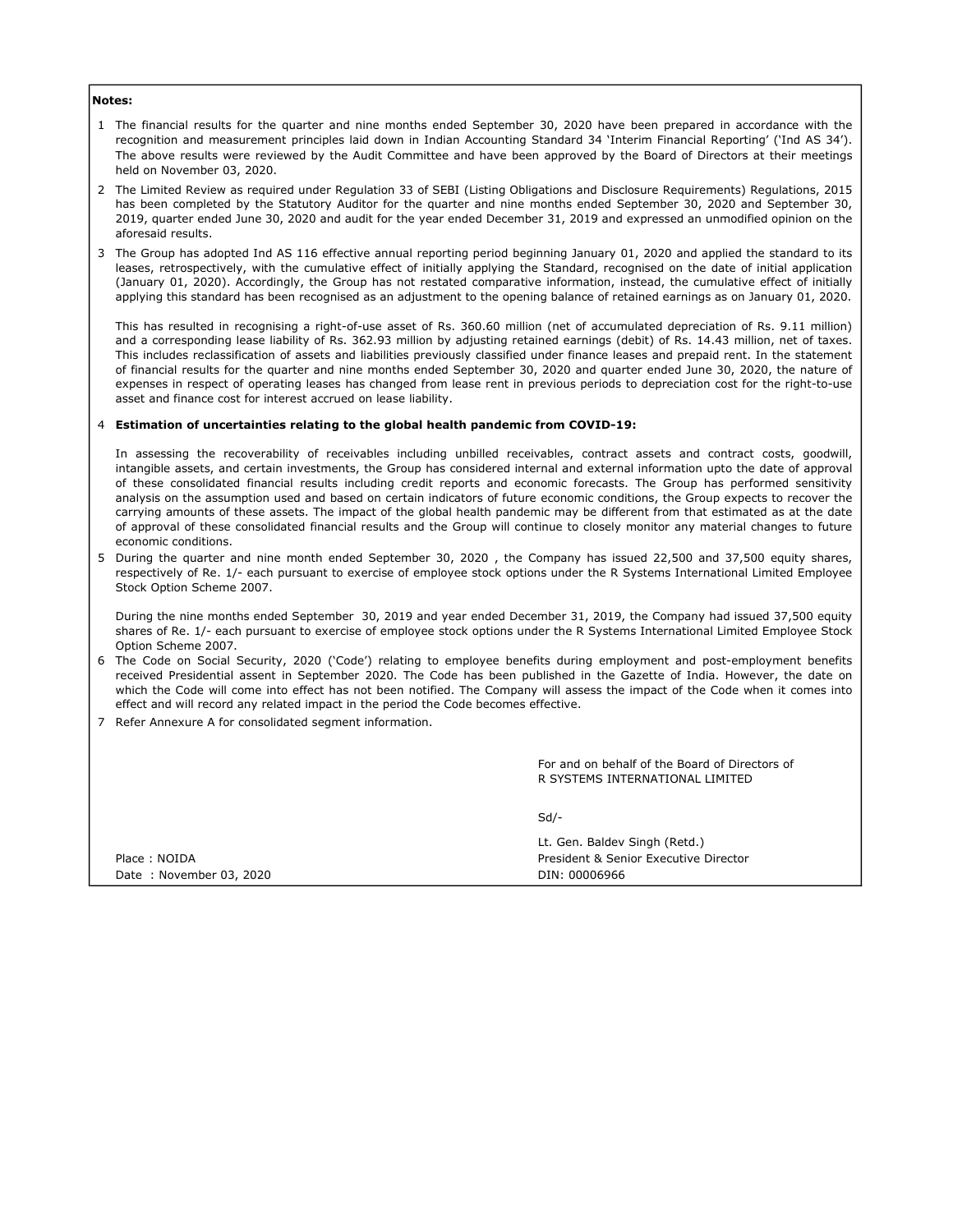# Notes:

- 1 The financial results for the quarter and nine months ended September 30, 2020 have been prepared in accordance with the recognition and measurement principles laid down in Indian Accounting Standard 34 'Interim Financial Reporting' ('Ind AS 34'). The above results were reviewed by the Audit Committee and have been approved by the Board of Directors at their meetings held on November 03, 2020.
- 2 The Limited Review as required under Regulation 33 of SEBI (Listing Obligations and Disclosure Requirements) Regulations, 2015 has been completed by the Statutory Auditor for the quarter and nine months ended September 30, 2020 and September 30, 2019, quarter ended June 30, 2020 and audit for the year ended December 31, 2019 and expressed an unmodified opinion on the aforesaid results.
- 3 The Group has adopted Ind AS 116 effective annual reporting period beginning January 01, 2020 and applied the standard to its leases, retrospectively, with the cumulative effect of initially applying the Standard, recognised on the date of initial application (January 01, 2020). Accordingly, the Group has not restated comparative information, instead, the cumulative effect of initially applying this standard has been recognised as an adjustment to the opening balance of retained earnings as on January 01, 2020.

This has resulted in recognising a right-of-use asset of Rs. 360.60 million (net of accumulated depreciation of Rs. 9.11 million) and a corresponding lease liability of Rs. 362.93 million by adjusting retained earnings (debit) of Rs. 14.43 million, net of taxes. This includes reclassification of assets and liabilities previously classified under finance leases and prepaid rent. In the statement of financial results for the quarter and nine months ended September 30, 2020 and quarter ended June 30, 2020, the nature of expenses in respect of operating leases has changed from lease rent in previous periods to depreciation cost for the right-to-use asset and finance cost for interest accrued on lease liability.

#### 4 Estimation of uncertainties relating to the global health pandemic from COVID-19:

In assessing the recoverability of receivables including unbilled receivables, contract assets and contract costs, goodwill, intangible assets, and certain investments, the Group has considered internal and external information upto the date of approval of these consolidated financial results including credit reports and economic forecasts. The Group has performed sensitivity analysis on the assumption used and based on certain indicators of future economic conditions, the Group expects to recover the carrying amounts of these assets. The impact of the global health pandemic may be different from that estimated as at the date of approval of these consolidated financial results and the Group will continue to closely monitor any material changes to future economic conditions.

5 During the quarter and nine month ended September 30, 2020 , the Company has issued 22,500 and 37,500 equity shares, respectively of Re. 1/- each pursuant to exercise of employee stock options under the R Systems International Limited Employee Stock Option Scheme 2007.

During the nine months ended September 30, 2019 and year ended December 31, 2019, the Company had issued 37,500 equity shares of Re. 1/- each pursuant to exercise of employee stock options under the R Systems International Limited Employee Stock Option Scheme 2007.

- 6 The Code on Social Security, 2020 ('Code') relating to employee benefits during employment and post-employment benefits received Presidential assent in September 2020. The Code has been published in the Gazette of India. However, the date on which the Code will come into effect has not been notified. The Company will assess the impact of the Code when it comes into effect and will record any related impact in the period the Code becomes effective.
- 7 Refer Annexure A for consolidated segment information.

For and on behalf of the Board of Directors of R SYSTEMS INTERNATIONAL LIMITED

Sd/-

|                         | Lt. Gen. Baldev Singh (Retd.)         |  |  |
|-------------------------|---------------------------------------|--|--|
| Place: NOIDA            | President & Senior Executive Director |  |  |
| Date: November 03, 2020 | DIN: 00006966                         |  |  |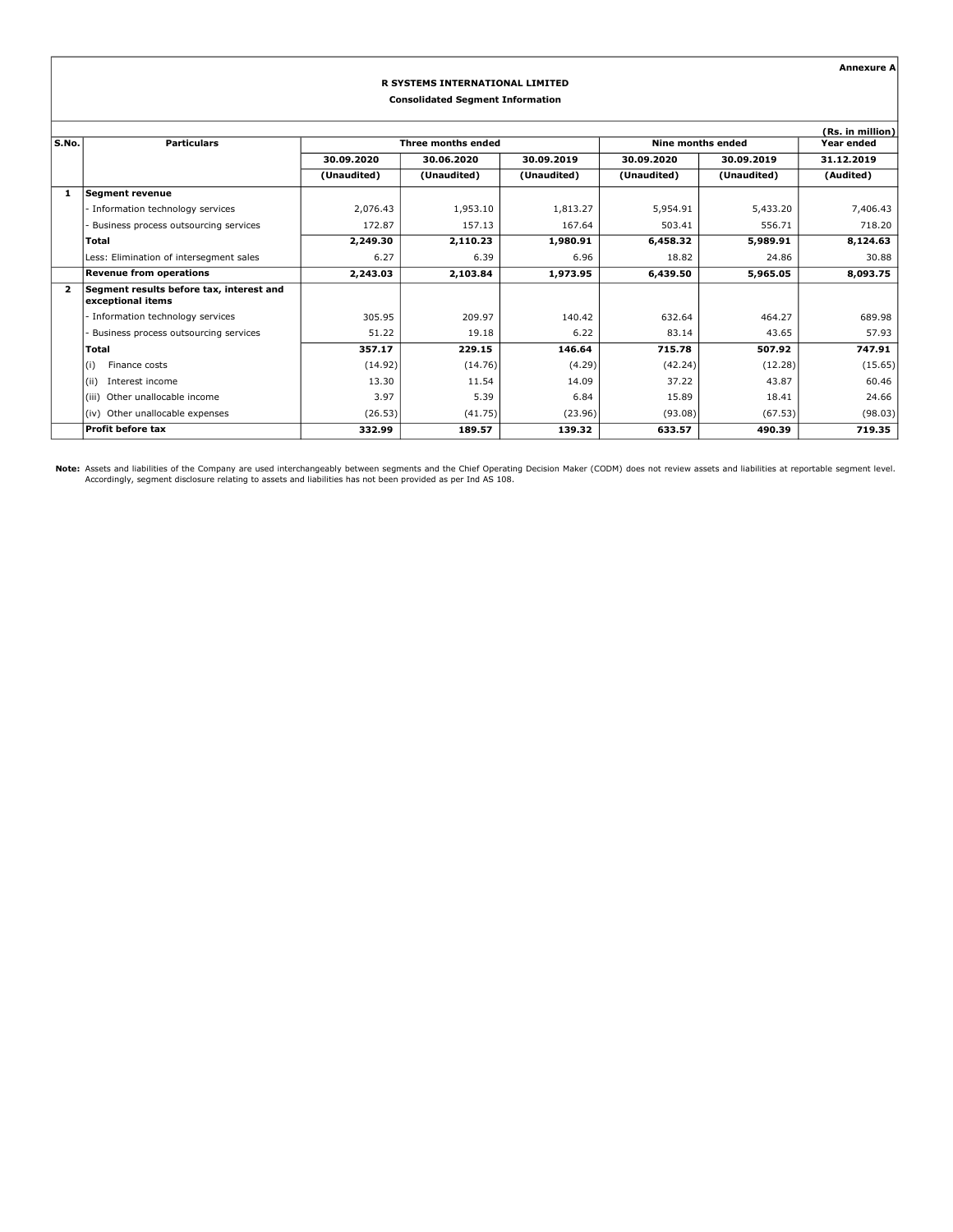Annexure A

### R SYSTEMS INTERNATIONAL LIMITED Consolidated Segment Information

|                         |                                                               |                    |             | (Rs. in million) |                   |             |            |
|-------------------------|---------------------------------------------------------------|--------------------|-------------|------------------|-------------------|-------------|------------|
| S.No.                   | <b>Particulars</b>                                            | Three months ended |             |                  | Nine months ended | Year ended  |            |
|                         |                                                               | 30.09.2020         | 30.06.2020  | 30.09.2019       | 30.09.2020        | 30.09.2019  | 31.12.2019 |
|                         |                                                               | (Unaudited)        | (Unaudited) | (Unaudited)      | (Unaudited)       | (Unaudited) | (Audited)  |
| -1                      | <b>Segment revenue</b>                                        |                    |             |                  |                   |             |            |
|                         | Information technology services                               | 2,076.43           | 1,953.10    | 1,813.27         | 5,954.91          | 5,433.20    | 7,406.43   |
|                         | Business process outsourcing services                         | 172.87             | 157.13      | 167.64           | 503.41            | 556.71      | 718.20     |
|                         | Total                                                         | 2,249.30           | 2,110.23    | 1,980.91         | 6,458.32          | 5,989.91    | 8,124.63   |
|                         | Less: Elimination of intersegment sales                       | 6.27               | 6.39        | 6.96             | 18.82             | 24.86       | 30.88      |
|                         | <b>Revenue from operations</b>                                | 2,243.03           | 2,103.84    | 1,973.95         | 6,439.50          | 5,965.05    | 8,093.75   |
| $\overline{\mathbf{2}}$ | Segment results before tax, interest and<br>exceptional items |                    |             |                  |                   |             |            |
|                         | Information technology services                               | 305.95             | 209.97      | 140.42           | 632.64            | 464.27      | 689.98     |
|                         | Business process outsourcing services                         | 51.22              | 19.18       | 6.22             | 83.14             | 43.65       | 57.93      |
|                         | Total                                                         | 357.17             | 229.15      | 146.64           | 715.78            | 507.92      | 747.91     |
|                         | Finance costs<br>(i)                                          | (14.92)            | (14.76)     | (4.29)           | (42.24)           | (12.28)     | (15.65)    |
|                         | (i)<br>Interest income                                        | 13.30              | 11.54       | 14.09            | 37.22             | 43.87       | 60.46      |
|                         | Other unallocable income<br>(iii)                             | 3.97               | 5.39        | 6.84             | 15.89             | 18.41       | 24.66      |
|                         | Other unallocable expenses<br>(iv)                            | (26.53)            | (41.75)     | (23.96)          | (93.08)           | (67.53)     | (98.03)    |
|                         | Profit before tax                                             | 332.99             | 189.57      | 139.32           | 633.57            | 490.39      | 719.35     |

Note: Assets and liabilities of the Company are used interchangeably between segments and the Chief Operating Decision Maker (CODM) does not review assets and liabilities at reportable segment level.<br>Accordingly, segment d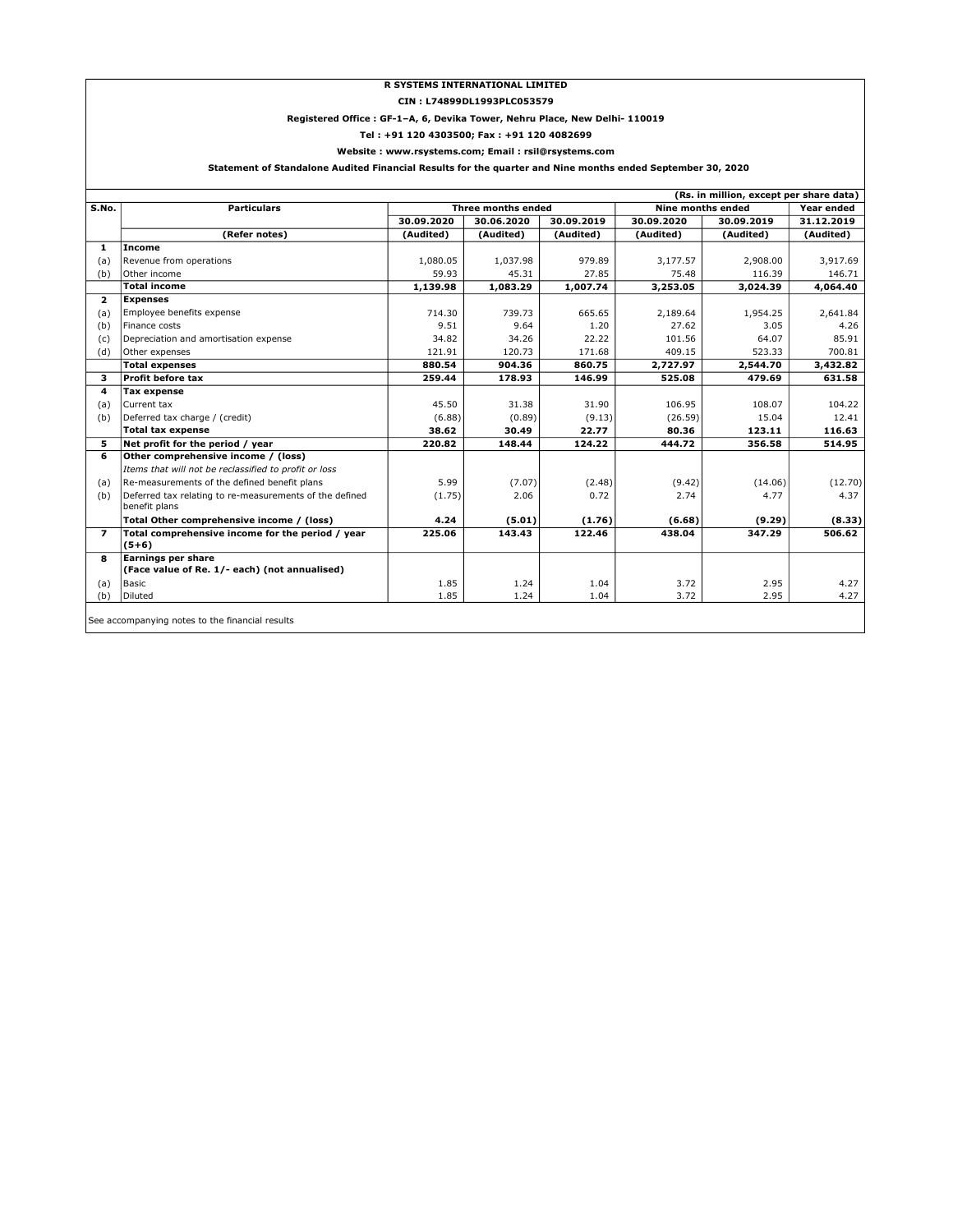#### R SYSTEMS INTERNATIONAL LIMITED

#### CIN : L74899DL1993PLC053579

#### Registered Office : GF-1–A, 6, Devika Tower, Nehru Place, New Delhi- 110019

Tel : +91 120 4303500; Fax : +91 120 4082699

#### Website : www.rsystems.com; Email : rsil@rsystems.com

# Statement of Standalone Audited Financial Results for the quarter and Nine months ended September 30, 2020

| (Rs. in million, except per share data)<br>Year ended |                                                                            |            |                    |            |            |                   |            |
|-------------------------------------------------------|----------------------------------------------------------------------------|------------|--------------------|------------|------------|-------------------|------------|
| S.No.                                                 | <b>Particulars</b>                                                         |            | Three months ended |            |            | Nine months ended |            |
|                                                       |                                                                            | 30.09.2020 | 30.06.2020         | 30.09.2019 | 30.09.2020 | 30.09.2019        | 31.12.2019 |
|                                                       | (Refer notes)                                                              | (Audited)  | (Audited)          | (Audited)  | (Audited)  | (Audited)         | (Audited)  |
| 1                                                     | Income                                                                     |            |                    |            |            |                   |            |
| (a)                                                   | Revenue from operations                                                    | 1,080.05   | 1,037.98           | 979.89     | 3,177.57   | 2,908.00          | 3,917.69   |
| (b)                                                   | Other income                                                               | 59.93      | 45.31              | 27.85      | 75.48      | 116.39            | 146.71     |
|                                                       | <b>Total income</b>                                                        | 1,139.98   | 1,083.29           | 1,007.74   | 3,253.05   | 3,024.39          | 4,064.40   |
| $\mathbf{z}$                                          | <b>Expenses</b>                                                            |            |                    |            |            |                   |            |
| (a)                                                   | Employee benefits expense                                                  | 714.30     | 739.73             | 665.65     | 2.189.64   | 1,954.25          | 2,641.84   |
| (b)                                                   | Finance costs                                                              | 9.51       | 9.64               | 1.20       | 27.62      | 3.05              | 4.26       |
| (c)                                                   | Depreciation and amortisation expense                                      | 34.82      | 34.26              | 22.22      | 101.56     | 64.07             | 85.91      |
| (d)                                                   | Other expenses                                                             | 121.91     | 120.73             | 171.68     | 409.15     | 523.33            | 700.81     |
|                                                       | <b>Total expenses</b>                                                      | 880.54     | 904.36             | 860.75     | 2,727.97   | 2,544.70          | 3,432.82   |
| з                                                     | Profit before tax                                                          | 259.44     | 178.93             | 146.99     | 525.08     | 479.69            | 631.58     |
| 4                                                     | <b>Tax expense</b>                                                         |            |                    |            |            |                   |            |
| (a)                                                   | Current tax                                                                | 45.50      | 31.38              | 31.90      | 106.95     | 108.07            | 104.22     |
| (b)                                                   | Deferred tax charge / (credit)                                             | (6.88)     | (0.89)             | (9.13)     | (26.59)    | 15.04             | 12.41      |
|                                                       | <b>Total tax expense</b>                                                   | 38.62      | 30.49              | 22.77      | 80.36      | 123.11            | 116.63     |
| 5                                                     | Net profit for the period / year                                           | 220.82     | 148.44             | 124.22     | 444.72     | 356.58            | 514.95     |
| 6                                                     | Other comprehensive income / (loss)                                        |            |                    |            |            |                   |            |
|                                                       | Items that will not be reclassified to profit or loss                      |            |                    |            |            |                   |            |
| (a)                                                   | Re-measurements of the defined benefit plans                               | 5.99       | (7.07)             | (2.48)     | (9.42)     | (14.06)           | (12.70)    |
| (b)                                                   | Deferred tax relating to re-measurements of the defined<br>benefit plans   | (1.75)     | 2.06               | 0.72       | 2.74       | 4.77              | 4.37       |
|                                                       | Total Other comprehensive income / (loss)                                  | 4.24       | (5.01)             | (1.76)     | (6.68)     | (9.29)            | (8.33)     |
| $\overline{ }$                                        | Total comprehensive income for the period / year<br>$(5+6)$                | 225.06     | 143.43             | 122.46     | 438.04     | 347.29            | 506.62     |
| 8                                                     | <b>Earnings per share</b><br>(Face value of Re. 1/- each) (not annualised) |            |                    |            |            |                   |            |
| (a)                                                   | Basic                                                                      | 1.85       | 1.24               | 1.04       | 3.72       | 2.95              | 4.27       |
| (b)                                                   | Diluted                                                                    | 1.85       | 1.24               | 1.04       | 3.72       | 2.95              | 4.27       |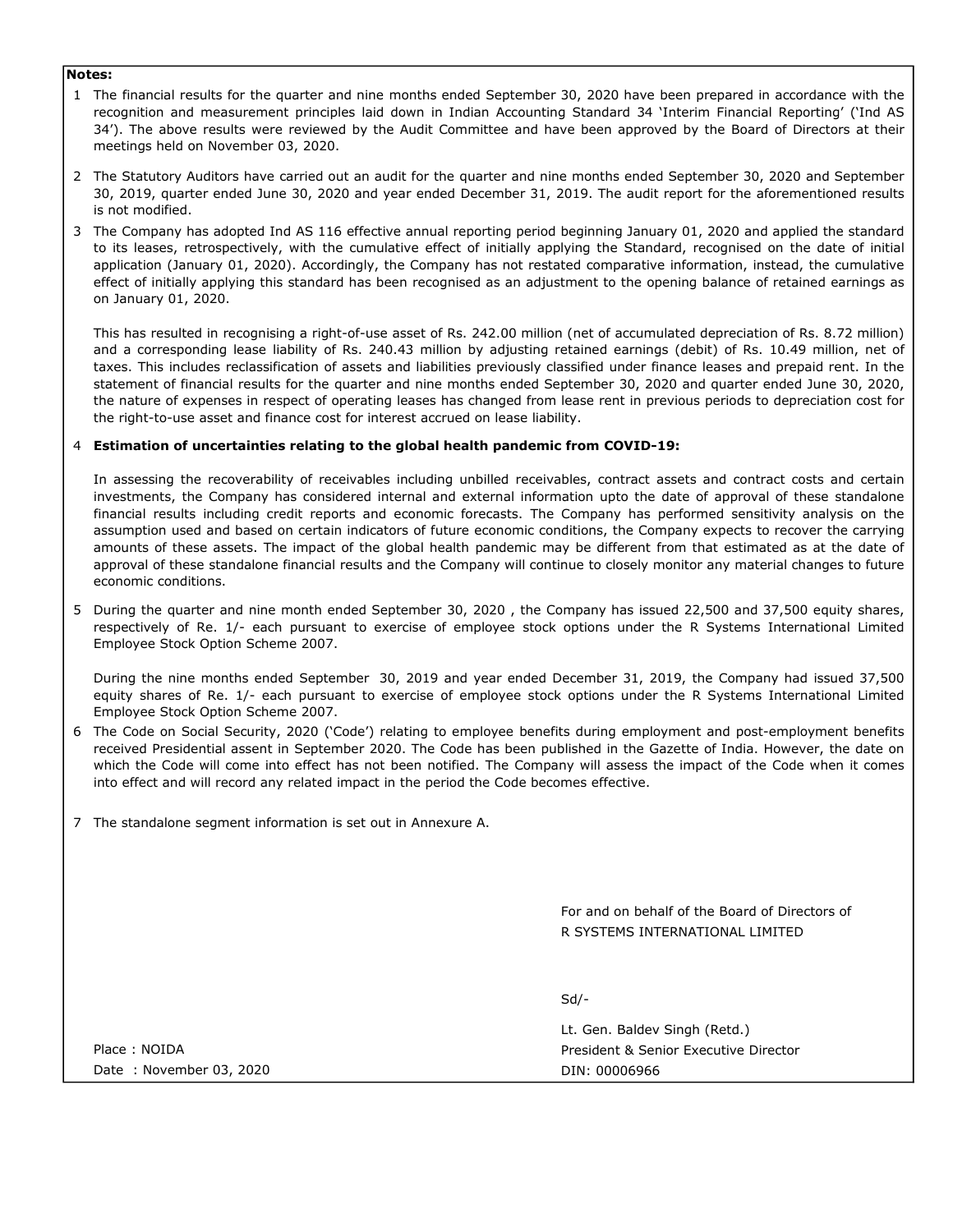# Notes:

- 1 The financial results for the quarter and nine months ended September 30, 2020 have been prepared in accordance with the recognition and measurement principles laid down in Indian Accounting Standard 34 'Interim Financial Reporting' ('Ind AS 34'). The above results were reviewed by the Audit Committee and have been approved by the Board of Directors at their meetings held on November 03, 2020.
- 2 The Statutory Auditors have carried out an audit for the quarter and nine months ended September 30, 2020 and September 30, 2019, quarter ended June 30, 2020 and year ended December 31, 2019. The audit report for the aforementioned results is not modified.
- 3 The Company has adopted Ind AS 116 effective annual reporting period beginning January 01, 2020 and applied the standard to its leases, retrospectively, with the cumulative effect of initially applying the Standard, recognised on the date of initial application (January 01, 2020). Accordingly, the Company has not restated comparative information, instead, the cumulative effect of initially applying this standard has been recognised as an adjustment to the opening balance of retained earnings as on January 01, 2020.

This has resulted in recognising a right-of-use asset of Rs. 242.00 million (net of accumulated depreciation of Rs. 8.72 million) and a corresponding lease liability of Rs. 240.43 million by adjusting retained earnings (debit) of Rs. 10.49 million, net of taxes. This includes reclassification of assets and liabilities previously classified under finance leases and prepaid rent. In the statement of financial results for the quarter and nine months ended September 30, 2020 and quarter ended June 30, 2020, the nature of expenses in respect of operating leases has changed from lease rent in previous periods to depreciation cost for the right-to-use asset and finance cost for interest accrued on lease liability.

# 4 Estimation of uncertainties relating to the global health pandemic from COVID-19:

In assessing the recoverability of receivables including unbilled receivables, contract assets and contract costs and certain investments, the Company has considered internal and external information upto the date of approval of these standalone financial results including credit reports and economic forecasts. The Company has performed sensitivity analysis on the assumption used and based on certain indicators of future economic conditions, the Company expects to recover the carrying amounts of these assets. The impact of the global health pandemic may be different from that estimated as at the date of approval of these standalone financial results and the Company will continue to closely monitor any material changes to future economic conditions.

5 During the quarter and nine month ended September 30, 2020 , the Company has issued 22,500 and 37,500 equity shares, respectively of Re. 1/- each pursuant to exercise of employee stock options under the R Systems International Limited Employee Stock Option Scheme 2007.

During the nine months ended September 30, 2019 and year ended December 31, 2019, the Company had issued 37,500 equity shares of Re. 1/- each pursuant to exercise of employee stock options under the R Systems International Limited Employee Stock Option Scheme 2007.

- 6 The Code on Social Security, 2020 ('Code') relating to employee benefits during employment and post-employment benefits received Presidential assent in September 2020. The Code has been published in the Gazette of India. However, the date on which the Code will come into effect has not been notified. The Company will assess the impact of the Code when it comes into effect and will record any related impact in the period the Code becomes effective.
- 7 The standalone segment information is set out in Annexure A.

R SYSTEMS INTERNATIONAL LIMITED For and on behalf of the Board of Directors of

Sd/-

Lt. Gen. Baldev Singh (Retd.) President & Senior Executive Director DIN: 00006966

Place : NOIDA Date : November 03, 2020